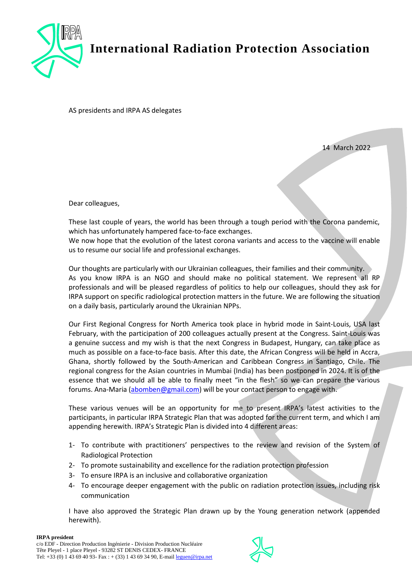

**International Radiation Protection Association**

AS presidents and IRPA AS delegates

14 March 2022

Dear colleagues,

These last couple of years, the world has been through a tough period with the Corona pandemic, which has unfortunately hampered face-to-face exchanges.

We now hope that the evolution of the latest corona variants and access to the vaccine will enable us to resume our social life and professional exchanges.

Our thoughts are particularly with our Ukrainian colleagues, their families and their community. As you know IRPA is an NGO and should make no political statement. We represent all RP professionals and will be pleased regardless of politics to help our colleagues, should they ask for IRPA support on specific radiological protection matters in the future. We are following the situation on a daily basis, particularly around the Ukrainian NPPs.

Our First Regional Congress for North America took place in hybrid mode in Saint-Louis, USA last February, with the participation of 200 colleagues actually present at the Congress. Saint-Louis was a genuine success and my wish is that the next Congress in Budapest, Hungary, can take place as much as possible on a face-to-face basis. After this date, the African Congress will be held in Accra, Ghana, shortly followed by the South-American and Caribbean Congress in Santiago, Chile. The regional congress for the Asian countries in Mumbai (India) has been postponed in 2024. It is of the essence that we should all be able to finally meet "in the flesh" so we can prepare the various forums. Ana-Maria [\(abomben@gmail.com\)](mailto:abomben@gmail.com) will be your contact person to engage with.

These various venues will be an opportunity for me to present IRPA's latest activities to the participants, in particular IRPA Strategic Plan that was adopted for the current term, and which I am appending herewith. IRPA's Strategic Plan is divided into 4 different areas:

- 1- To contribute with practitioners' perspectives to the review and revision of the System of Radiological Protection
- 2- To promote sustainability and excellence for the radiation protection profession
- 3- To ensure IRPA is an inclusive and collaborative organization
- 4- To encourage deeper engagement with the public on radiation protection issues, including risk communication

I have also approved the Strategic Plan drawn up by the Young generation network (appended herewith).

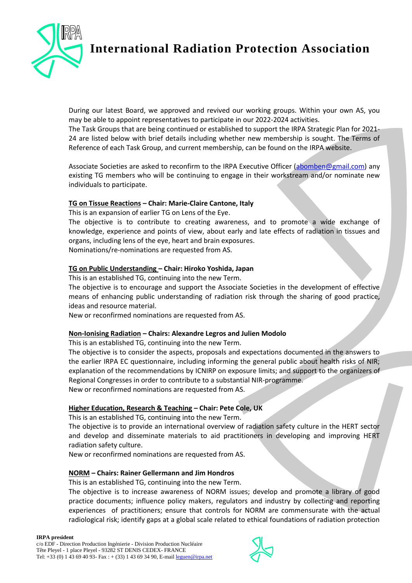

**International Radiation Protection Association**

During our latest Board, we approved and revived our working groups. Within your own AS, you may be able to appoint representatives to participate in our 2022-2024 activities.

The Task Groups that are being continued or established to support the IRPA Strategic Plan for 2021- 24 are listed below with brief details including whether new membership is sought. The Terms of Reference of each Task Group, and current membership, can be found on the IRPA website.

Associate Societies are asked to reconfirm to the IRPA Executive Officer [\(abomben@gmail.com\)](mailto:abomben@gmail.com) any existing TG members who will be continuing to engage in their workstream and/or nominate new individuals to participate.

## **TG on Tissue Reactions – Chair: Marie-Claire Cantone, Italy**

This is an expansion of earlier TG on Lens of the Eye.

The objective is to contribute to creating awareness, and to promote a wide exchange of knowledge, experience and points of view, about early and late effects of radiation in tissues and organs, including lens of the eye, heart and brain exposures.

Nominations/re-nominations are requested from AS.

### **TG on Public Understanding – Chair: Hiroko Yoshida, Japan**

This is an established TG, continuing into the new Term.

The objective is to encourage and support the Associate Societies in the development of effective means of enhancing public understanding of radiation risk through the sharing of good practice, ideas and resource material.

New or reconfirmed nominations are requested from AS.

## **Non-Ionising Radiation – Chairs: Alexandre Legros and Julien Modolo**

This is an established TG, continuing into the new Term.

The objective is to consider the aspects, proposals and expectations documented in the answers to the earlier IRPA EC questionnaire, including informing the general public about health risks of NIR; explanation of the recommendations by ICNIRP on exposure limits; and support to the organizers of Regional Congresses in order to contribute to a substantial NIR-programme. New or reconfirmed nominations are requested from AS.

## **Higher Education, Research & Teaching – Chair: Pete Cole, UK**

This is an established TG, continuing into the new Term.

The objective is to provide an international overview of radiation safety culture in the HERT sector and develop and disseminate materials to aid practitioners in developing and improving HERT radiation safety culture.

New or reconfirmed nominations are requested from AS.

## **NORM – Chairs: Rainer Gellermann and Jim Hondros**

This is an established TG, continuing into the new Term.

The objective is to increase awareness of NORM issues; develop and promote a library of good practice documents; influence policy makers, regulators and industry by collecting and reporting experiences of practitioners; ensure that controls for NORM are commensurate with the actual radiological risk; identify gaps at a global scale related to ethical foundations of radiation protection